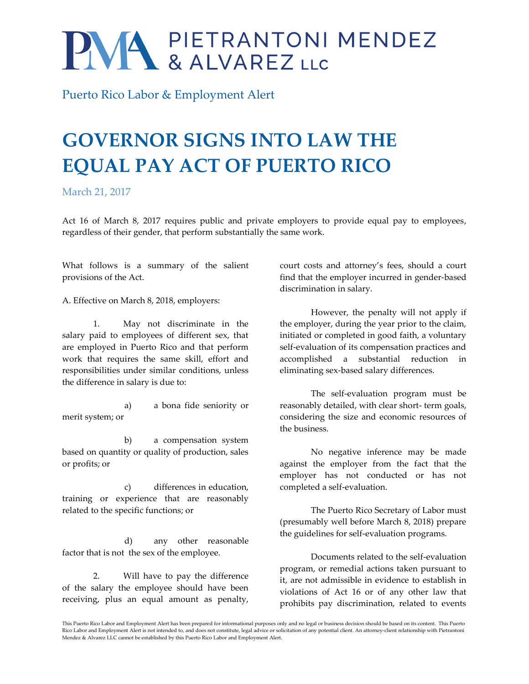## PMA PIETRANTONI MENDEZ

Puerto Rico Labor & Employment Alert

## **GOVERNOR SIGNS INTO LAW THE EQUAL PAY ACT OF PUERTO RICO**

March 21, 2017

Act 16 of March 8, 2017 requires public and private employers to provide equal pay to employees, regardless of their gender, that perform substantially the same work.

What follows is a summary of the salient provisions of the Act.

A. Effective on March 8, 2018, employers:

1. May not discriminate in the salary paid to employees of different sex, that are employed in Puerto Rico and that perform work that requires the same skill, effort and responsibilities under similar conditions, unless the difference in salary is due to:

a) a bona fide seniority or merit system; or

b) a compensation system based on quantity or quality of production, sales or profits; or

c) differences in education, training or experience that are reasonably related to the specific functions; or

d) any other reasonable factor that is not the sex of the employee.

2. Will have to pay the difference of the salary the employee should have been receiving, plus an equal amount as penalty, court costs and attorney's fees, should a court find that the employer incurred in gender-based discrimination in salary.

However, the penalty will not apply if the employer, during the year prior to the claim, initiated or completed in good faith, a voluntary self-evaluation of its compensation practices and accomplished a substantial reduction in eliminating sex-based salary differences.

The self-evaluation program must be reasonably detailed, with clear short- term goals, considering the size and economic resources of the business.

No negative inference may be made against the employer from the fact that the employer has not conducted or has not completed a self-evaluation.

The Puerto Rico Secretary of Labor must (presumably well before March 8, 2018) prepare the guidelines for self-evaluation programs.

Documents related to the self-evaluation program, or remedial actions taken pursuant to it, are not admissible in evidence to establish in violations of Act 16 or of any other law that prohibits pay discrimination, related to events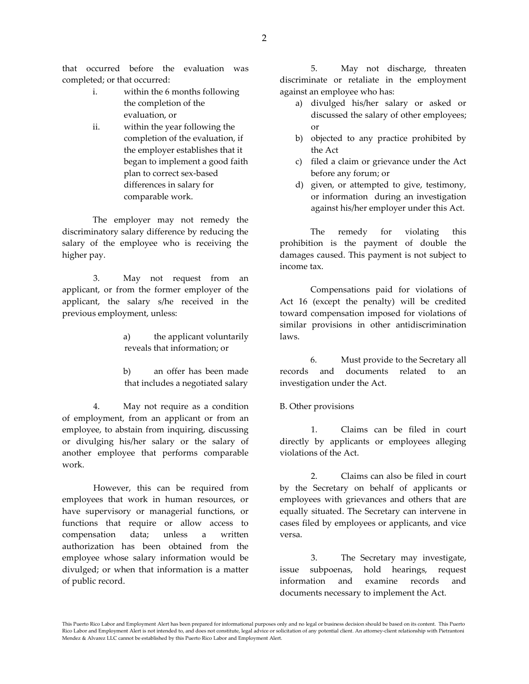that occurred before the evaluation was completed; or that occurred:

- i. within the 6 months following the completion of the evaluation, or
- ii. within the year following the completion of the evaluation, if the employer establishes that it began to implement a good faith plan to correct sex-based differences in salary for comparable work.

The employer may not remedy the discriminatory salary difference by reducing the salary of the employee who is receiving the higher pay.

3. May not request from an applicant, or from the former employer of the applicant, the salary s/he received in the previous employment, unless:

> a) the applicant voluntarily reveals that information; or

> b) an offer has been made that includes a negotiated salary

4. May not require as a condition of employment, from an applicant or from an employee, to abstain from inquiring, discussing or divulging his/her salary or the salary of another employee that performs comparable work.

However, this can be required from employees that work in human resources, or have supervisory or managerial functions, or functions that require or allow access to compensation data; unless a written authorization has been obtained from the employee whose salary information would be divulged; or when that information is a matter of public record.

5. May not discharge, threaten discriminate or retaliate in the employment against an employee who has:

- a) divulged his/her salary or asked or discussed the salary of other employees; or
- b) objected to any practice prohibited by the Act
- c) filed a claim or grievance under the Act before any forum; or
- d) given, or attempted to give, testimony, or information during an investigation against his/her employer under this Act.

The remedy for violating this prohibition is the payment of double the damages caused. This payment is not subject to income tax.

Compensations paid for violations of Act 16 (except the penalty) will be credited toward compensation imposed for violations of similar provisions in other antidiscrimination laws.

6. Must provide to the Secretary all records and documents related to an investigation under the Act.

B. Other provisions

1. Claims can be filed in court directly by applicants or employees alleging violations of the Act.

2. Claims can also be filed in court by the Secretary on behalf of applicants or employees with grievances and others that are equally situated. The Secretary can intervene in cases filed by employees or applicants, and vice versa.

3. The Secretary may investigate, issue subpoenas, hold hearings, request information and examine records and documents necessary to implement the Act.

This Puerto Rico Labor and Employment Alert has been prepared for informational purposes only and no legal or business decision should be based on its content. This Puerto Rico Labor and Employment Alert is not intended to, and does not constitute, legal advice or solicitation of any potential client. An attorney-client relationship with Pietrantoni Mendez & Alvarez LLC cannot be established by this Puerto Rico Labor and Employment Alert.